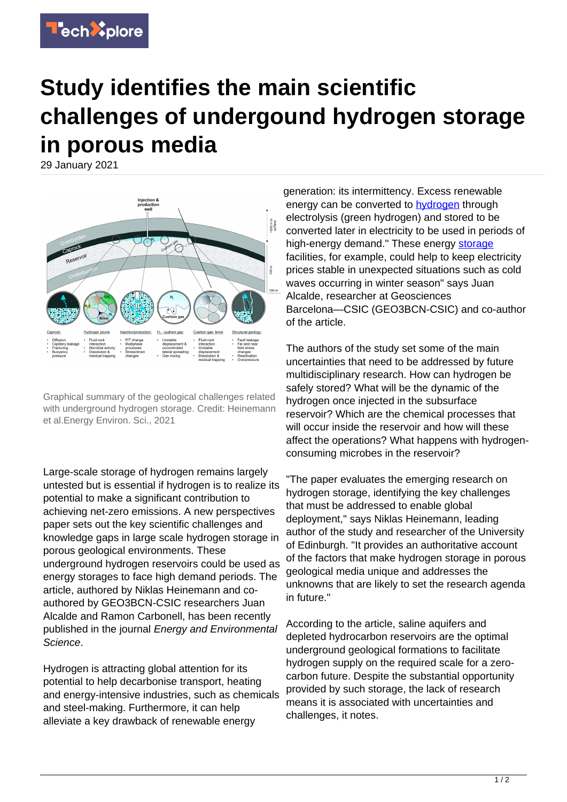

## **Study identifies the main scientific challenges of undergound hydrogen storage in porous media**

29 January 2021



Graphical summary of the geological challenges related with underground hydrogen storage. Credit: Heinemann et al.Energy Environ. Sci., 2021

Large-scale storage of hydrogen remains largely untested but is essential if hydrogen is to realize its potential to make a significant contribution to achieving net-zero emissions. A new perspectives paper sets out the key scientific challenges and knowledge gaps in large scale hydrogen storage in porous geological environments. These underground hydrogen reservoirs could be used as energy storages to face high demand periods. The article, authored by Niklas Heinemann and coauthored by GEO3BCN-CSIC researchers Juan Alcalde and Ramon Carbonell, has been recently published in the journal Energy and Environmental Science.

Hydrogen is attracting global attention for its potential to help decarbonise transport, heating and energy-intensive industries, such as chemicals and steel-making. Furthermore, it can help alleviate a key drawback of renewable energy

generation: its intermittency. Excess renewable energy can be converted to **hydrogen** through electrolysis (green hydrogen) and stored to be converted later in electricity to be used in periods of high-energy demand." These energy [storage](https://techxplore.com/tags/storage/) facilities, for example, could help to keep electricity prices stable in unexpected situations such as cold waves occurring in winter season" says Juan Alcalde, researcher at Geosciences Barcelona—CSIC (GEO3BCN-CSIC) and co-author of the article.

The authors of the study set some of the main uncertainties that need to be addressed by future multidisciplinary research. How can hydrogen be safely stored? What will be the dynamic of the hydrogen once injected in the subsurface reservoir? Which are the chemical processes that will occur inside the reservoir and how will these affect the operations? What happens with hydrogenconsuming microbes in the reservoir?

"The paper evaluates the emerging research on hydrogen storage, identifying the key challenges that must be addressed to enable global deployment," says Niklas Heinemann, leading author of the study and researcher of the University of Edinburgh. "It provides an authoritative account of the factors that make hydrogen storage in porous geological media unique and addresses the unknowns that are likely to set the research agenda in future."

According to the article, saline aquifers and depleted hydrocarbon reservoirs are the optimal underground geological formations to facilitate hydrogen supply on the required scale for a zerocarbon future. Despite the substantial opportunity provided by such storage, the lack of research means it is associated with uncertainties and challenges, it notes.